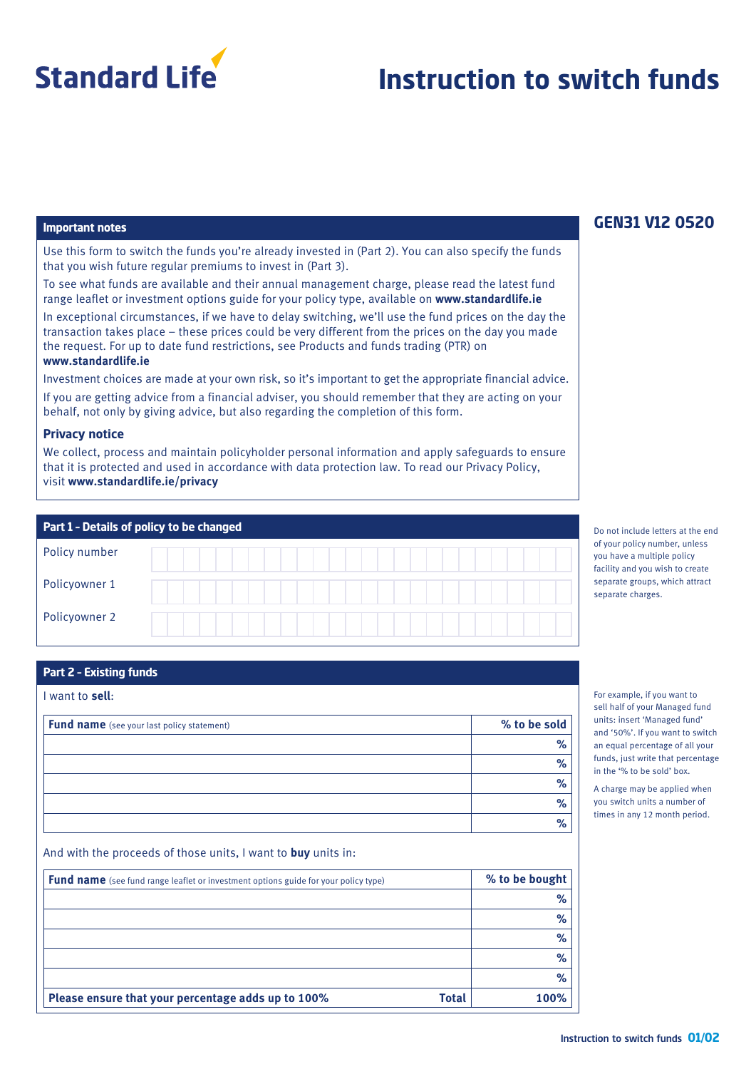

# **Instruction to switch funds**

# **Important notes**

Use this form to switch the funds you're already invested in (Part 2). You can also specify the funds that you wish future regular premiums to invest in (Part 3).

To see what funds are available and their annual management charge, please read the latest fund range leaflet or investment options guide for your policy type, available on **www.standardlife.ie**

In exceptional circumstances, if we have to delay switching, we'll use the fund prices on the day the transaction takes place – these prices could be very different from the prices on the day you made the request. For up to date fund restrictions, see Products and funds trading (PTR) on **www.standardlife.ie**

Investment choices are made at your own risk, so it's important to get the appropriate financial advice. If you are getting advice from a financial adviser, you should remember that they are acting on your behalf, not only by giving advice, but also regarding the completion of this form.

## **Privacy notice**

We collect, process and maintain policyholder personal information and apply safeguards to ensure that it is protected and used in accordance with data protection law. To read our Privacy Policy, visit **www.standardlife.ie/privacy**

| Part 1 - Details of policy to be changed |  |  |  |  |  |
|------------------------------------------|--|--|--|--|--|
| Policy number                            |  |  |  |  |  |
| Policyowner 1                            |  |  |  |  |  |
| Policyowner 2                            |  |  |  |  |  |

# **Part 2 – Existing funds**

I want to **sell**:

| Fund name (see your last policy statement) | % to be sold |
|--------------------------------------------|--------------|
|                                            | %            |
|                                            | $\%$         |
|                                            | %            |
|                                            | %            |
|                                            | %            |

And with the proceeds of those units, I want to **buy** units in:

| <b>Fund name</b> (see fund range leaflet or investment options guide for your policy type) | % to be bought |
|--------------------------------------------------------------------------------------------|----------------|
|                                                                                            | %              |
|                                                                                            | %              |
|                                                                                            | %              |
|                                                                                            | %              |
|                                                                                            | $\%$           |
| Please ensure that your percentage adds up to 100%<br><b>Total</b>                         | 100%           |

# **GEN31 V12 0520**

Do not include letters at the end of your policy number, unless you have a multiple policy facility and you wish to create separate groups, which attract separate charges.

For example, if you want to sell half of your Managed fund units: insert 'Managed fund' and '50%'. If you want to switch an equal percentage of all your funds, just write that percentage in the '% to be sold' box.

A charge may be applied when you switch units a number of times in any 12 month period.